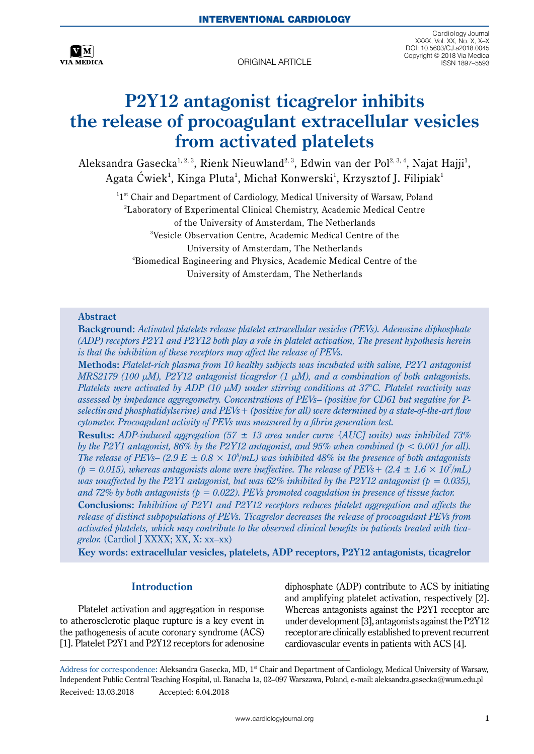

ORIGINAL ARTICLE

Cardiology Journal XXXX, Vol. XX, No. X, X–X DOI: 10.5603/CJ.a2018.0045 Copyright © 2018 Via Medica

# **P2Y12 antagonist ticagrelor inhibits the release of procoagulant extracellular vesicles from activated platelets**

Aleksandra Gasecka $^{1,2,3}$ , Rienk Nieuwland $^{2,3}$ , Edwin van der Pol $^{2,3,4}$ , Najat Hajji $^1$ , Agata Ćwiek<sup>1</sup>, Kinga Pluta<sup>1</sup>, Michał Konwerski<sup>1</sup>, Krzysztof J. Filipiak<sup>1</sup>

 $1^{st}$  Chair and Department of Cardiology, Medical University of Warsaw, Poland 2 Laboratory of Experimental Clinical Chemistry, Academic Medical Centre of the University of Amsterdam, The Netherlands 3 Vesicle Observation Centre, Academic Medical Centre of the University of Amsterdam, The Netherlands 4 Biomedical Engineering and Physics, Academic Medical Centre of the University of Amsterdam, The Netherlands

## **Abstract**

**Background:** *Activated platelets release platelet extracellular vesicles (PEVs). Adenosine diphosphate (ADP) receptors P2Y1 and P2Y12 both play a role in platelet activation, The present hypothesis herein is that the inhibition of these receptors may affect the release of PEVs.*

**Methods:** *Platelet-rich plasma from 10 healthy subjects was incubated with saline, P2Y1 antagonist MRS2179 (100 µM), P2Y12 antagonist ticagrelor (1 µM), and a combination of both antagonists. Platelets were activated by ADP (10 µM) under stirring conditions at 37°C. Platelet reactivity was assessed by impedance aggregometry. Concentrations of PEVs– (positive for CD61 but negative for Pselectinand phosphatidylserine) and PEVs+ (positive for all) were determined by a state-of-the-art flow cytometer. Procoagulant activity of PEVs was measured by a fibrin generation test.*

**Results:** *ADP-induced aggregation (57 ± 13 area under curve {AUC] units) was inhibited 73% by the P2Y1 antagonist, 86% by the P2Y12 antagonist, and 95% when combined (p < 0.001 for all). The release of PEVs–* (2.9  $E \pm 0.8 \times 10^8$ /mL) was inhibited 48% in the presence of both antagonists  $(p = 0.015)$ , whereas antagonists alone were ineffective. The release of PEVs +  $(2.4 \pm 1.6 \times 10^7/\text{mL})$ *was unaffected by the P2Y1 antagonist, but was 62% inhibited by the P2Y12 antagonist (* $p = 0.035$ *), and 72% by both antagonists (p = 0.022). PEVs promoted coagulation in presence of tissue factor.*  **Conclusions:** *Inhibition of P2Y1 and P2Y12 receptors reduces platelet aggregation and affects the* 

*release of distinct subpopulations of PEVs. Ticagrelor decreases the release of procoagulant PEVs from activated platelets, which may contribute to the observed clinical benefits in patients treated with ticagrelor.* (Cardiol J XXXX; XX, X: xx–xx)

**Key words: extracellular vesicles, platelets, ADP receptors, P2Y12 antagonists, ticagrelor**

# **Introduction**

Platelet activation and aggregation in response to atherosclerotic plaque rupture is a key event in the pathogenesis of acute coronary syndrome (ACS) [1]. Platelet P2Y1 and P2Y12 receptors for adenosine diphosphate (ADP) contribute to ACS by initiating and amplifying platelet activation, respectively [2]. Whereas antagonists against the P2Y1 receptor are under development [3], antagonists against the P2Y12 receptor are clinically established to prevent recurrent cardiovascular events in patients with ACS [4].

Address for correspondence: Aleksandra Gasecka, MD, 1<sup>st</sup> Chair and Department of Cardiology, Medical University of Warsaw, Independent Public Central Teaching Hospital, ul. Banacha 1a, 02–097 Warszawa, Poland, e-mail: aleksandra.gasecka@wum.edu.pl Received: 13.03.2018 Accepted: 6.04.2018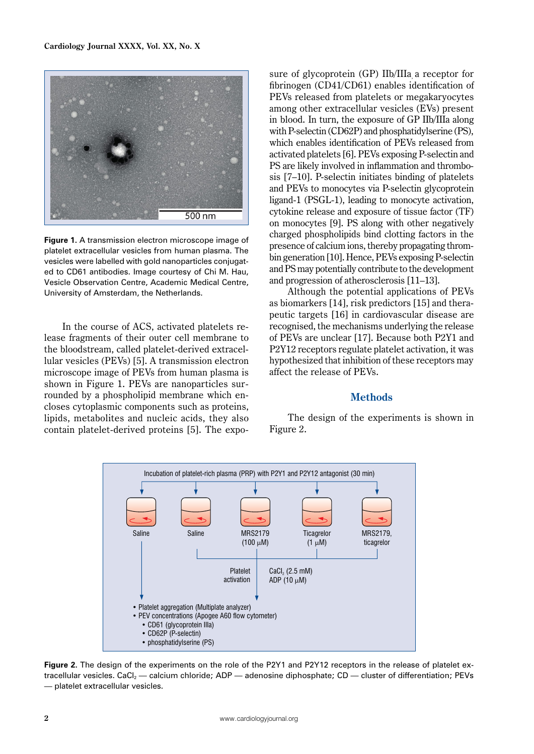

**Figure 1.** A transmission electron microscope image of platelet extracellular vesicles from human plasma. The vesicles were labelled with gold nanoparticles conjugated to CD61 antibodies. Image courtesy of Chi M. Hau, Vesicle Observation Centre, Academic Medical Centre, University of Amsterdam, the Netherlands.

In the course of ACS, activated platelets release fragments of their outer cell membrane to the bloodstream, called platelet-derived extracellular vesicles (PEVs) [5]. A transmission electron microscope image of PEVs from human plasma is shown in Figure 1. PEVs are nanoparticles surrounded by a phospholipid membrane which encloses cytoplasmic components such as proteins, lipids, metabolites and nucleic acids, they also contain platelet-derived proteins [5]. The exposure of glycoprotein (GP) IIb/IIIa a receptor for fibrinogen (CD41/CD61) enables identification of PEVs released from platelets or megakaryocytes among other extracellular vesicles (EVs) present in blood. In turn, the exposure of GP IIb/IIIa along with P-selectin (CD62P) and phosphatidylserine (PS), which enables identification of PEVs released from activated platelets [6]. PEVs exposing P-selectin and PS are likely involved in inflammation and thrombosis [7–10]. P-selectin initiates binding of platelets and PEVs to monocytes via P-selectin glycoprotein ligand-1 (PSGL-1), leading to monocyte activation, cytokine release and exposure of tissue factor (TF) on monocytes [9]. PS along with other negatively charged phospholipids bind clotting factors in the presence of calcium ions, thereby propagating thrombin generation [10]. Hence, PEVs exposing P-selectin and PS may potentially contribute to the development and progression of atherosclerosis [11–13].

Although the potential applications of PEVs as biomarkers [14], risk predictors [15] and therapeutic targets [16] in cardiovascular disease are recognised, the mechanisms underlying the release of PEVs are unclear [17]. Because both P2Y1 and P2Y12 receptors regulate platelet activation, it was hypothesized that inhibition of these receptors may affect the release of PEVs.

## **Methods**

The design of the experiments is shown in Figure 2.



**Figure 2.** The design of the experiments on the role of the P2Y1 and P2Y12 receptors in the release of platelet extracellular vesicles. CaCl<sub>2</sub> — calcium chloride; ADP — adenosine diphosphate; CD — cluster of differentiation; PEVs — platelet extracellular vesicles.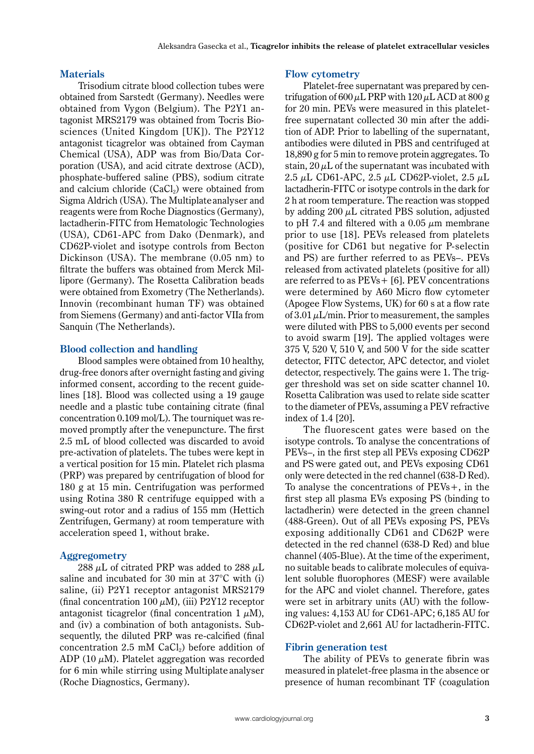## **Materials**

Trisodium citrate blood collection tubes were obtained from Sarstedt (Germany). Needles were obtained from Vygon (Belgium). The P2Y1 antagonist MRS2179 was obtained from Tocris Biosciences (United Kingdom [UK]). The P2Y12 antagonist ticagrelor was obtained from Cayman Chemical (USA), ADP was from Bio/Data Corporation (USA), and acid citrate dextrose (ACD), phosphate-buffered saline (PBS), sodium citrate and calcium chloride  $(CaCl<sub>2</sub>)$  were obtained from Sigma Aldrich (USA). The Multiplateanalyser and reagents were from Roche Diagnostics (Germany), lactadherin-FITC from Hematologic Technologies (USA), CD61-APC from Dako (Denmark), and CD62P-violet and isotype controls from Becton Dickinson (USA). The membrane (0.05 nm) to filtrate the buffers was obtained from Merck Millipore (Germany). The Rosetta Calibration beads were obtained from Exometry (The Netherlands). Innovin (recombinant human TF) was obtained from Siemens (Germany) and anti-factor VIIa from Sanquin (The Netherlands).

## **Blood collection and handling**

Blood samples were obtained from 10 healthy, drug-free donors after overnight fasting and giving informed consent, according to the recent guidelines [18]. Blood was collected using a 19 gauge needle and a plastic tube containing citrate (final concentration 0.109 mol/L). The tourniquet was removed promptly after the venepuncture. The first 2.5 mL of blood collected was discarded to avoid pre-activation of platelets. The tubes were kept in a vertical position for 15 min. Platelet rich plasma (PRP) was prepared by centrifugation of blood for 180 g at 15 min. Centrifugation was performed using Rotina 380 R centrifuge equipped with a swing-out rotor and a radius of 155 mm (Hettich Zentrifugen, Germany) at room temperature with acceleration speed 1, without brake.

#### **Aggregometry**

288  $\mu$ L of citrated PRP was added to 288  $\mu$ L saline and incubated for 30 min at 37°C with (i) saline, (ii) P2Y1 receptor antagonist MRS2179 (final concentration 100  $\mu$ M), (iii) P2Y12 receptor antagonist ticagrelor (final concentration 1  $\mu$ M), and (iv) a combination of both antagonists. Subsequently, the diluted PRP was re-calcified (final concentration 2.5 mM  $CaCl<sub>2</sub>$ ) before addition of ADP (10  $\mu$ M). Platelet aggregation was recorded for 6 min while stirring using Multiplate analyser (Roche Diagnostics, Germany).

#### **Flow cytometry**

Platelet-free supernatant was prepared by centrifugation of 600  $\mu$ L PRP with 120  $\mu$ L ACD at 800 g for 20 min. PEVs were measured in this plateletfree supernatant collected 30 min after the addition of ADP. Prior to labelling of the supernatant, antibodies were diluted in PBS and centrifuged at 18,890 g for 5 min to remove protein aggregates. To stain,  $20 \mu L$  of the supernatant was incubated with 2.5  $\mu$ L CD61-APC, 2.5  $\mu$ L CD62P-violet, 2.5  $\mu$ L lactadherin-FITC or isotype controls in the dark for 2 h at room temperature. The reaction was stopped by adding  $200 \mu L$  citrated PBS solution, adjusted to pH 7.4 and filtered with a 0.05  $\mu$ m membrane prior to use [18]. PEVs released from platelets (positive for CD61 but negative for P-selectin and PS) are further referred to as PEVs–. PEVs released from activated platelets (positive for all) are referred to as PEVs+ [6]. PEV concentrations were determined by A60 Micro flow cytometer (Apogee Flow Systems, UK) for 60 s at a flow rate of  $3.01 \mu L/min$ . Prior to measurement, the samples were diluted with PBS to 5,000 events per second to avoid swarm [19]. The applied voltages were 375 V, 520 V, 510 V, and 500 V for the side scatter detector, FITC detector, APC detector, and violet detector, respectively. The gains were 1. The trigger threshold was set on side scatter channel 10. Rosetta Calibration was used to relate side scatter to the diameter of PEVs, assuming a PEV refractive index of 1.4 [20].

The fluorescent gates were based on the isotype controls. To analyse the concentrations of PEVs–, in the first step all PEVs exposing CD62P and PS were gated out, and PEVs exposing CD61 only were detected in the red channel (638-D Red). To analyse the concentrations of PEVs+, in the first step all plasma EVs exposing PS (binding to lactadherin) were detected in the green channel (488-Green). Out of all PEVs exposing PS, PEVs exposing additionally CD61 and CD62P were detected in the red channel (638-D Red) and blue channel (405-Blue). At the time of the experiment, no suitable beads to calibrate molecules of equivalent soluble fluorophores (MESF) were available for the APC and violet channel. Therefore, gates were set in arbitrary units (AU) with the following values: 4,153 AU for CD61-APC; 6,185 AU for CD62P-violet and 2,661 AU for lactadherin-FITC.

#### **Fibrin generation test**

The ability of PEVs to generate fibrin was measured in platelet-free plasma in the absence or presence of human recombinant TF (coagulation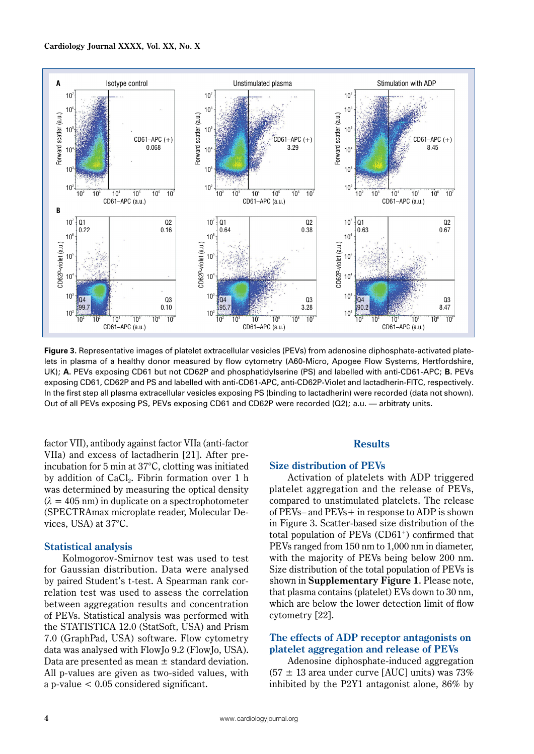

**Figure 3.** Representative images of platelet extracellular vesicles (PEVs) from adenosine diphosphate-activated platelets in plasma of a healthy donor measured by flow cytometry (A60-Micro, Apogee Flow Systems, Hertfordshire, UK); **A.** PEVs exposing CD61 but not CD62P and phosphatidylserine (PS) and labelled with anti-CD61-APC; **B.** PEVs exposing CD61, CD62P and PS and labelled with anti-CD61-APC, anti-CD62P-Violet and lactadherin-FITC, respectively. In the first step all plasma extracellular vesicles exposing PS (binding to lactadherin) were recorded (data not shown). Out of all PEVs exposing PS, PEVs exposing CD61 and CD62P were recorded (Q2); a.u. — arbitraty units.

factor VII), antibody against factor VIIa (anti-factor VIIa) and excess of lactadherin [21]. After preincubation for 5 min at 37°C, clotting was initiated by addition of  $CaCl<sub>2</sub>$ . Fibrin formation over 1 h was determined by measuring the optical density  $(\lambda = 405 \text{ nm})$  in duplicate on a spectrophotometer (SPECTRAmax microplate reader, Molecular Devices, USA) at 37°C.

## **Statistical analysis**

Kolmogorov-Smirnov test was used to test for Gaussian distribution. Data were analysed by paired Student's t-test. A Spearman rank correlation test was used to assess the correlation between aggregation results and concentration of PEVs. Statistical analysis was performed with the STATISTICA 12.0 (StatSoft, USA) and Prism 7.0 (GraphPad, USA) software. Flow cytometry data was analysed with FlowJo 9.2 (FlowJo, USA). Data are presented as mean  $\pm$  standard deviation. All p-values are given as two-sided values, with a p-value < 0.05 considered significant.

# **Results**

#### **Size distribution of PEVs**

Activation of platelets with ADP triggered platelet aggregation and the release of PEVs, compared to unstimulated platelets. The release of PEVs– and PEVs+ in response to ADP is shown in Figure 3. Scatter-based size distribution of the total population of  $PEVs (CD61<sup>+</sup>)$  confirmed that PEVs ranged from 150 nm to 1,000 nm in diameter, with the majority of PEVs being below 200 nm. Size distribution of the total population of PEVs is shown in **Supplementary Figure 1**. Please note, that plasma contains (platelet) EVs down to 30 nm, which are below the lower detection limit of flow cytometry [22].

# **The effects of ADP receptor antagonists on platelet aggregation and release of PEVs**

Adenosine diphosphate-induced aggregation  $(57 \pm 13 \text{ area under curve } [\text{AUC}]$  units) was 73% inhibited by the P2Y1 antagonist alone, 86% by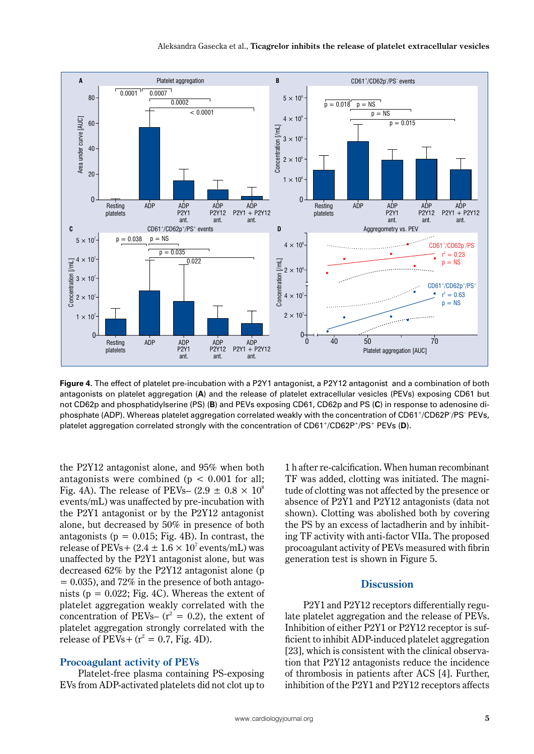

**Figure 4.** The effect of platelet pre-incubation with a P2Y1 antagonist, a P2Y12 antagonist and a combination of both antagonists on platelet aggregation (**A**) and the release of platelet extracellular vesicles (PEVs) exposing CD61 but not CD62p and phosphatidylserine (PS) (**B**) and PEVs exposing CD61, CD62p and PS (**C**) in response to adenosine diphosphate (ADP). Whereas platelet aggregation correlated weakly with the concentration of CD61+/CD62P– /PS– PEVs, platelet aggregation correlated strongly with the concentration of CD61+/CD62P+/PS+ PEVs (**D**).

the P2Y12 antagonist alone, and 95% when both antagonists were combined ( $p < 0.001$  for all; Fig. 4A). The release of PEVs–  $(2.9 \pm 0.8 \times 10^8)$ events/mL) was unaffected by pre-incubation with the P2Y1 antagonist or by the P2Y12 antagonist alone, but decreased by 50% in presence of both antagonists ( $p = 0.015$ ; Fig. 4B). In contrast, the release of PEVs +  $(2.4 \pm 1.6 \times 10^7 \text{ events/mL})$  was unaffected by the P2Y1 antagonist alone, but was decreased 62% by the P2Y12 antagonist alone (p  $= 0.035$ ), and 72% in the presence of both antagonists ( $p = 0.022$ ; Fig. 4C). Whereas the extent of platelet aggregation weakly correlated with the concentration of PEVs–  $(r^2 = 0.2)$ , the extent of platelet aggregation strongly correlated with the release of  $PEVs + (r^2 = 0.7, Fig. 4D)$ .

## **Procoagulant activity of PEVs**

Platelet-free plasma containing PS-exposing EVs from ADP-activated platelets did not clot up to 1 h after re-calcification. When human recombinant TF was added, clotting was initiated. The magnitude of clotting was not affected by the presence or absence of P2Y1 and P2Y12 antagonists (data not shown). Clotting was abolished both by covering the PS by an excess of lactadherin and by inhibiting TF activity with anti-factor VIIa. The proposed procoagulant activity of PEVs measured with fibrin generation test is shown in Figure 5.

# **Discussion**

P2Y1 and P2Y12 receptors differentially regulate platelet aggregation and the release of PEVs. Inhibition of either P2Y1 or P2Y12 receptor is sufficient to inhibit ADP-induced platelet aggregation [23], which is consistent with the clinical observation that P2Y12 antagonists reduce the incidence of thrombosis in patients after ACS [4]. Further, inhibition of the P2Y1 and P2Y12 receptors affects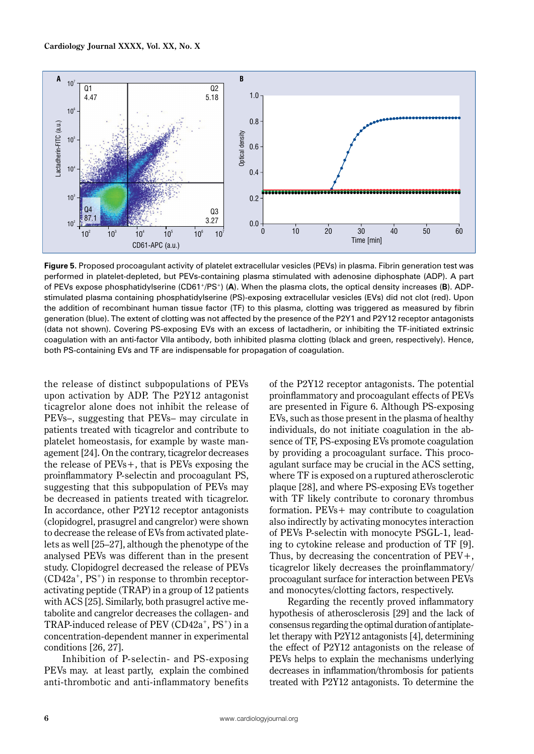

**Figure 5.** Proposed procoagulant activity of platelet extracellular vesicles (PEVs) in plasma. Fibrin generation test was performed in platelet-depleted, but PEVs-containing plasma stimulated with adenosine diphosphate (ADP). A part of PEVs expose phosphatidylserine (CD61+/PS+) (**A**). When the plasma clots, the optical density increases (**B**). ADPstimulated plasma containing phosphatidylserine (PS)-exposing extracellular vesicles (EVs) did not clot (red). Upon the addition of recombinant human tissue factor (TF) to this plasma, clotting was triggered as measured by fibrin generation (blue). The extent of clotting was not affected by the presence of the P2Y1 and P2Y12 receptor antagonists (data not shown). Covering PS-exposing EVs with an excess of lactadherin, or inhibiting the TF-initiated extrinsic coagulation with an anti-factor VIIa antibody, both inhibited plasma clotting (black and green, respectively). Hence, both PS-containing EVs and TF are indispensable for propagation of coagulation.

the release of distinct subpopulations of PEVs upon activation by ADP. The P2Y12 antagonist ticagrelor alone does not inhibit the release of PEVs–, suggesting that PEVs– may circulate in patients treated with ticagrelor and contribute to platelet homeostasis, for example by waste management [24]. On the contrary, ticagrelor decreases the release of PEVs+, that is PEVs exposing the proinflammatory P-selectin and procoagulant PS, suggesting that this subpopulation of PEVs may be decreased in patients treated with ticagrelor. In accordance, other P2Y12 receptor antagonists (clopidogrel, prasugrel and cangrelor) were shown to decrease the release of EVs from activated platelets as well [25–27], although the phenotype of the analysed PEVs was different than in the present study. Clopidogrel decreased the release of PEVs  $(CD42a^+$ ,  $PS^+$ ) in response to thrombin receptoractivating peptide (TRAP) in a group of 12 patients with ACS [25]. Similarly, both prasugrel active metabolite and cangrelor decreases the collagen- and TRAP-induced release of PEV  $(CD42a^+$ , PS<sup>+</sup>) in a concentration-dependent manner in experimental conditions [26, 27].

Inhibition of P-selectin- and PS-exposing PEVs may. at least partly, explain the combined anti-thrombotic and anti-inflammatory benefits of the P2Y12 receptor antagonists. The potential proinflammatory and procoagulant effects of PEVs are presented in Figure 6. Although PS-exposing EVs, such as those present in the plasma of healthy individuals, do not initiate coagulation in the absence of TF, PS-exposing EVs promote coagulation by providing a procoagulant surface. This procoagulant surface may be crucial in the ACS setting, where TF is exposed on a ruptured atherosclerotic plaque [28], and where PS-exposing EVs together with TF likely contribute to coronary thrombus formation. PEVs+ may contribute to coagulation also indirectly by activating monocytes interaction of PEVs P-selectin with monocyte PSGL-1, leading to cytokine release and production of TF [9]. Thus, by decreasing the concentration of  $PEV+$ , ticagrelor likely decreases the proinflammatory/ procoagulant surface for interaction between PEVs and monocytes/clotting factors, respectively.

Regarding the recently proved inflammatory hypothesis of atherosclerosis [29] and the lack of consensus regarding the optimal duration of antiplatelet therapy with P2Y12 antagonists [4], determining the effect of P2Y12 antagonists on the release of PEVs helps to explain the mechanisms underlying decreases in inflammation/thrombosis for patients treated with P2Y12 antagonists. To determine the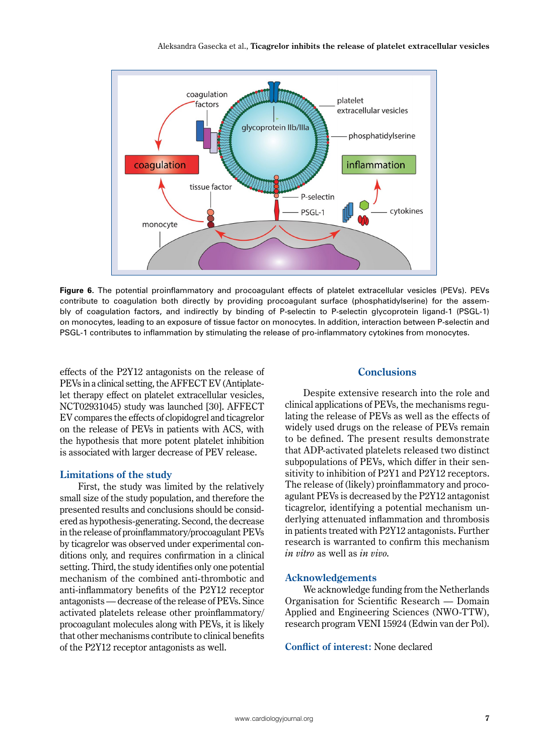

**Figure 6.** The potential proinflammatory and procoagulant effects of platelet extracellular vesicles (PEVs). PEVs contribute to coagulation both directly by providing procoagulant surface (phosphatidylserine) for the assembly of coagulation factors, and indirectly by binding of P-selectin to P-selectin glycoprotein ligand-1 (PSGL-1) on monocytes, leading to an exposure of tissue factor on monocytes. In addition, interaction between P-selectin and PSGL-1 contributes to inflammation by stimulating the release of pro-inflammatory cytokines from monocytes.

effects of the P2Y12 antagonists on the release of PEVs in a clinical setting, the AFFECT EV (Antiplatelet therapy effect on platelet extracellular vesicles, NCT02931045) study was launched [30]. AFFECT EV compares the effects of clopidogrel and ticagrelor on the release of PEVs in patients with ACS, with the hypothesis that more potent platelet inhibition is associated with larger decrease of PEV release.

#### **Limitations of the study**

First, the study was limited by the relatively small size of the study population, and therefore the presented results and conclusions should be considered as hypothesis-generating. Second, the decrease in the release of proinflammatory/procoagulant PEVs by ticagrelor was observed under experimental conditions only, and requires confirmation in a clinical setting. Third, the study identifies only one potential mechanism of the combined anti-thrombotic and anti-inflammatory benefits of the P2Y12 receptor antagonists — decrease of the release of PEVs. Since activated platelets release other proinflammatory/ procoagulant molecules along with PEVs, it is likely that other mechanisms contribute to clinical benefits of the P2Y12 receptor antagonists as well.

## **Conclusions**

Despite extensive research into the role and clinical applications of PEVs, the mechanisms regulating the release of PEVs as well as the effects of widely used drugs on the release of PEVs remain to be defined. The present results demonstrate that ADP-activated platelets released two distinct subpopulations of PEVs, which differ in their sensitivity to inhibition of P2Y1 and P2Y12 receptors. The release of (likely) proinflammatory and procoagulant PEVs is decreased by the P2Y12 antagonist ticagrelor, identifying a potential mechanism underlying attenuated inflammation and thrombosis in patients treated with P2Y12 antagonists. Further research is warranted to confirm this mechanism *in vitro* as well as *in vivo.*

#### **Acknowledgements**

We acknowledge funding from the Netherlands Organisation for Scientific Research — Domain Applied and Engineering Sciences (NWO-TTW), research program VENI 15924 (Edwin van der Pol).

**Conflict of interest:** None declared